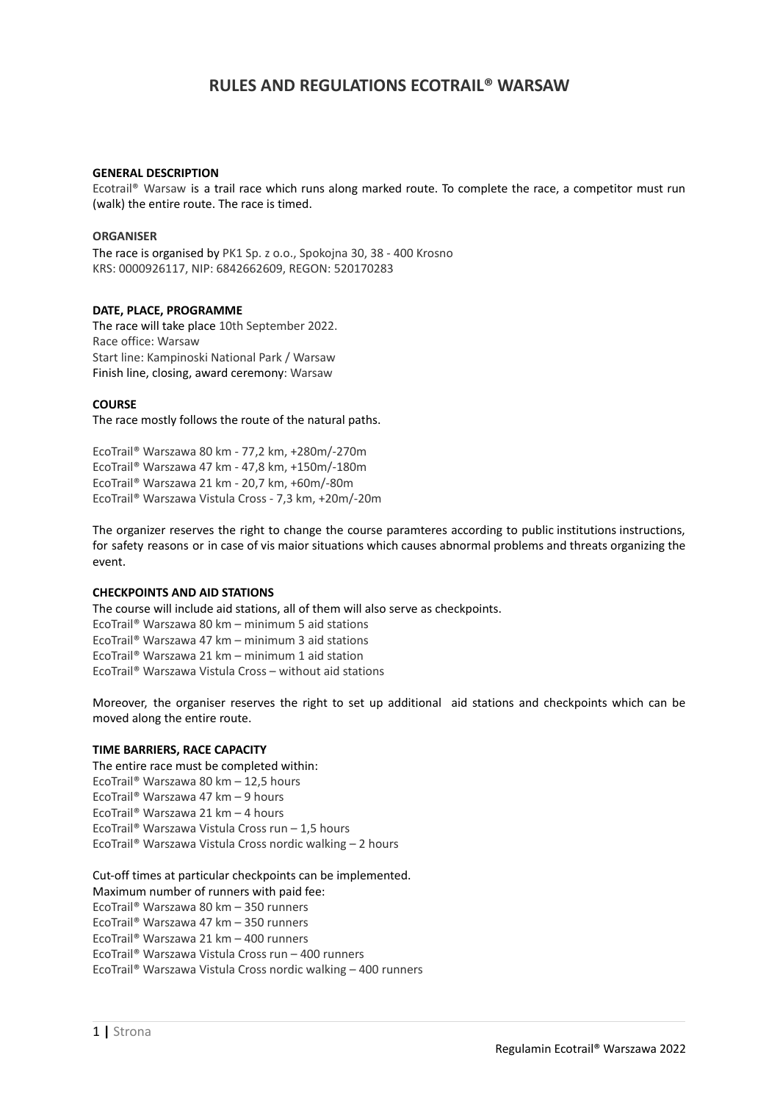# **RULES AND REGULATIONS ECOTRAIL® WARSAW**

#### **GENERAL DESCRIPTION**

Ecotrail® Warsaw is a trail race which runs along marked route. To complete the race, a competitor must run (walk) the entire route. The race is timed.

#### **ORGANISER**

The race is organised by PK1 Sp. z o.o., Spokojna 30, 38 - 400 Krosno KRS: 0000926117, NIP: 6842662609, REGON: 520170283

#### **DATE, PLACE, PROGRAMME**

The race will take place 10th September 2022. Race office: Warsaw Start line: Kampinoski National Park / Warsaw Finish line, closing, award ceremony: Warsaw

#### **COURSE**

The race mostly follows the route of the natural paths.

EcoTrail® Warszawa 80 km - 77,2 km, +280m/-270m EcoTrail® Warszawa 47 km - 47,8 km, +150m/-180m EcoTrail® Warszawa 21 km - 20,7 km, +60m/-80m EcoTrail® Warszawa Vistula Cross - 7,3 km, +20m/-20m

The organizer reserves the right to change the course paramteres according to public institutions instructions, for safety reasons or in case of vis maior situations which causes abnormal problems and threats organizing the event.

# **CHECKPOINTS AND AID STATIONS**

The course will include aid stations, all of them will also serve as checkpoints. EcoTrail® Warszawa 80 km – minimum 5 aid stations EcoTrail® Warszawa 47 km – minimum 3 aid stations EcoTrail® Warszawa 21 km – minimum 1 aid station EcoTrail® Warszawa Vistula Cross – without aid stations

Moreover, the organiser reserves the right to set up additional aid stations and checkpoints which can be moved along the entire route.

#### **TIME BARRIERS, RACE CAPACITY**

The entire race must be completed within: EcoTrail® Warszawa 80 km – 12,5 hours EcoTrail® Warszawa 47 km – 9 hours EcoTrail® Warszawa 21 km – 4 hours EcoTrail® Warszawa Vistula Cross run – 1,5 hours EcoTrail® Warszawa Vistula Cross nordic walking – 2 hours

Cut-off times at particular checkpoints can be implemented.

Maximum number of runners with paid fee:

EcoTrail® Warszawa 80 km – 350 runners

EcoTrail® Warszawa 47 km – 350 runners

EcoTrail® Warszawa 21 km – 400 runners

EcoTrail® Warszawa Vistula Cross run – 400 runners

EcoTrail® Warszawa Vistula Cross nordic walking – 400 runners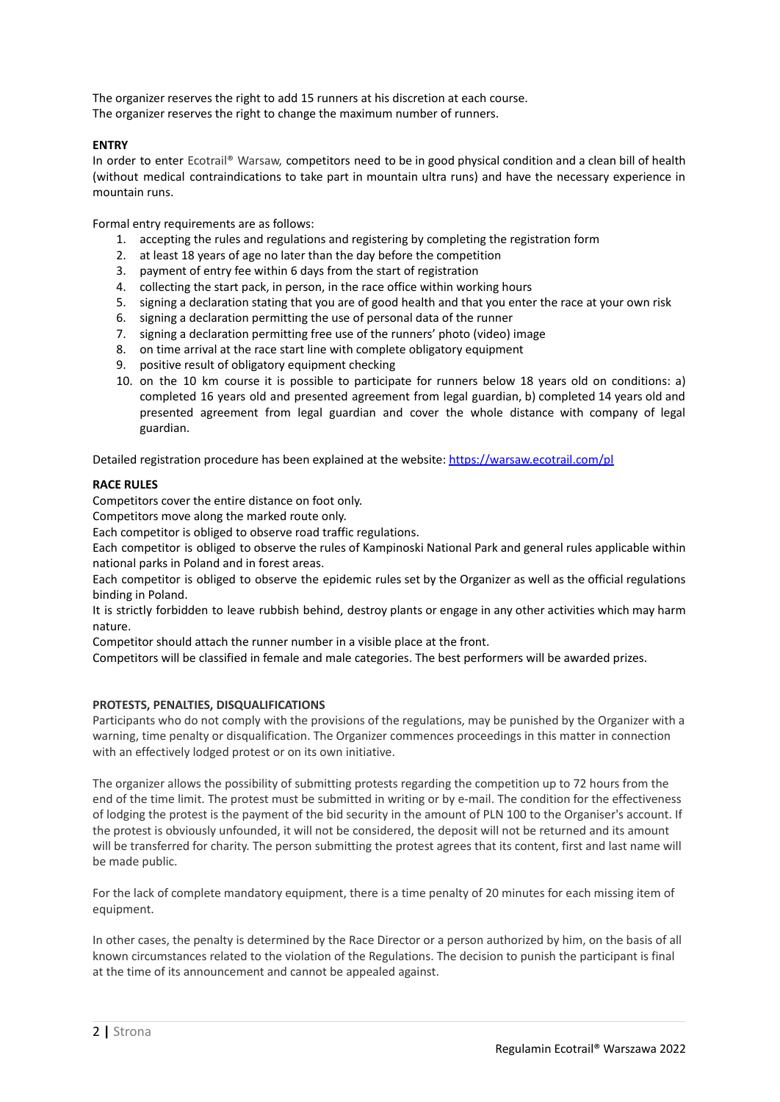The organizer reserves the right to add 15 runners at his discretion at each course. The organizer reserves the right to change the maximum number of runners.

# **ENTRY**

In order to enter Ecotrail® Warsaw, competitors need to be in good physical condition and a clean bill of health (without medical contraindications to take part in mountain ultra runs) and have the necessary experience in mountain runs.

Formal entry requirements are as follows:

- 1. accepting the rules and regulations and registering by completing the registration form
- 2. at least 18 years of age no later than the day before the competition
- 3. payment of entry fee within 6 days from the start of registration
- 4. collecting the start pack, in person, in the race office within working hours
- 5. signing a declaration stating that you are of good health and that you enter the race at your own risk
- 6. signing a declaration permitting the use of personal data of the runner
- 7. signing a declaration permitting free use of the runners' photo (video) image
- 8. on time arrival at the race start line with complete obligatory equipment
- 9. positive result of obligatory equipment checking
- 10. on the 10 km course it is possible to participate for runners below 18 years old on conditions: a) completed 16 years old and presented agreement from legal guardian, b) completed 14 years old and presented agreement from legal guardian and cover the whole distance with company of legal guardian.

Detailed registration procedure has been explained at the website: <https://warsaw.ecotrail.com/pl>

# **RACE RULES**

Competitors cover the entire distance on foot only.

Competitors move along the marked route only.

Each competitor is obliged to observe road traffic regulations.

Each competitor is obliged to observe the rules of Kampinoski National Park and general rules applicable within national parks in Poland and in forest areas.

Each competitor is obliged to observe the epidemic rules set by the Organizer as well as the official regulations binding in Poland.

It is strictly forbidden to leave rubbish behind, destroy plants or engage in any other activities which may harm nature.

Competitor should attach the runner number in a visible place at the front.

Competitors will be classified in female and male categories. The best performers will be awarded prizes.

# **PROTESTS, PENALTIES, DISQUALIFICATIONS**

Participants who do not comply with the provisions of the regulations, may be punished by the Organizer with a warning, time penalty or disqualification. The Organizer commences proceedings in this matter in connection with an effectively lodged protest or on its own initiative.

The organizer allows the possibility of submitting protests regarding the competition up to 72 hours from the end of the time limit. The protest must be submitted in writing or by e-mail. The condition for the effectiveness of lodging the protest is the payment of the bid security in the amount of PLN 100 to the Organiser's account. If the protest is obviously unfounded, it will not be considered, the deposit will not be returned and its amount will be transferred for charity. The person submitting the protest agrees that its content, first and last name will be made public.

For the lack of complete mandatory equipment, there is a time penalty of 20 minutes for each missing item of equipment.

In other cases, the penalty is determined by the Race Director or a person authorized by him, on the basis of all known circumstances related to the violation of the Regulations. The decision to punish the participant is final at the time of its announcement and cannot be appealed against.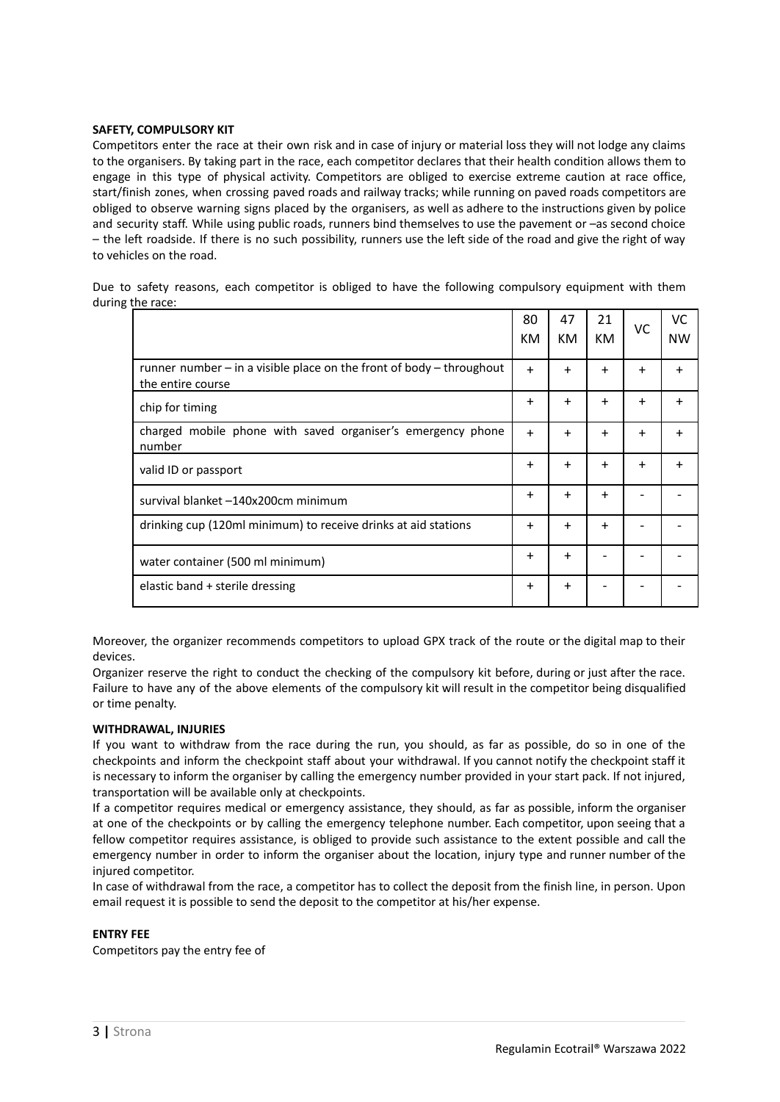# **SAFETY, COMPULSORY KIT**

Competitors enter the race at their own risk and in case of injury or material loss they will not lodge any claims to the organisers. By taking part in the race, each competitor declares that their health condition allows them to engage in this type of physical activity. Competitors are obliged to exercise extreme caution at race office, start/finish zones, when crossing paved roads and railway tracks; while running on paved roads competitors are obliged to observe warning signs placed by the organisers, as well as adhere to the instructions given by police and security staff. While using public roads, runners bind themselves to use the pavement or –as second choice – the left roadside. If there is no such possibility, runners use the left side of the road and give the right of way to vehicles on the road.

Due to safety reasons, each competitor is obliged to have the following compulsory equipment with them during the race:

|                                                                                               | 80<br>КM  | 47<br>КM  | 21<br>KM. | VC        | <b>VC</b><br><b>NW</b> |
|-----------------------------------------------------------------------------------------------|-----------|-----------|-----------|-----------|------------------------|
| runner number $-$ in a visible place on the front of body $-$ throughout<br>the entire course | $+$       | $+$       | $\ddot{}$ | $\ddot{}$ | $\ddot{}$              |
| chip for timing                                                                               | $+$       | $\ddot{}$ | $\ddot{}$ | $\ddot{}$ | $\ddot{}$              |
| charged mobile phone with saved organiser's emergency phone<br>number                         | $+$       | $+$       | $\ddot{}$ | $\ddot{}$ |                        |
| valid ID or passport                                                                          | $+$       | $\ddot{}$ | $\ddot{}$ | $\ddot{}$ |                        |
| survival blanket -140x200cm minimum                                                           | $+$       | $\ddot{}$ | $\ddot{}$ |           |                        |
| drinking cup (120ml minimum) to receive drinks at aid stations                                | $\ddot{}$ | $\ddot{}$ | $\ddot{}$ |           |                        |
| water container (500 ml minimum)                                                              | $+$       | $\ddot{}$ |           |           |                        |
| elastic band + sterile dressing                                                               | $\ddot{}$ | $\ddot{}$ |           |           |                        |

Moreover, the organizer recommends competitors to upload GPX track of the route or the digital map to their devices.

Organizer reserve the right to conduct the checking of the compulsory kit before, during or just after the race. Failure to have any of the above elements of the compulsory kit will result in the competitor being disqualified or time penalty.

# **WITHDRAWAL, INJURIES**

If you want to withdraw from the race during the run, you should, as far as possible, do so in one of the checkpoints and inform the checkpoint staff about your withdrawal. If you cannot notify the checkpoint staff it is necessary to inform the organiser by calling the emergency number provided in your start pack. If not injured, transportation will be available only at checkpoints.

If a competitor requires medical or emergency assistance, they should, as far as possible, inform the organiser at one of the checkpoints or by calling the emergency telephone number. Each competitor, upon seeing that a fellow competitor requires assistance, is obliged to provide such assistance to the extent possible and call the emergency number in order to inform the organiser about the location, injury type and runner number of the injured competitor.

In case of withdrawal from the race, a competitor has to collect the deposit from the finish line, in person. Upon email request it is possible to send the deposit to the competitor at his/her expense.

# **ENTRY FEE**

Competitors pay the entry fee of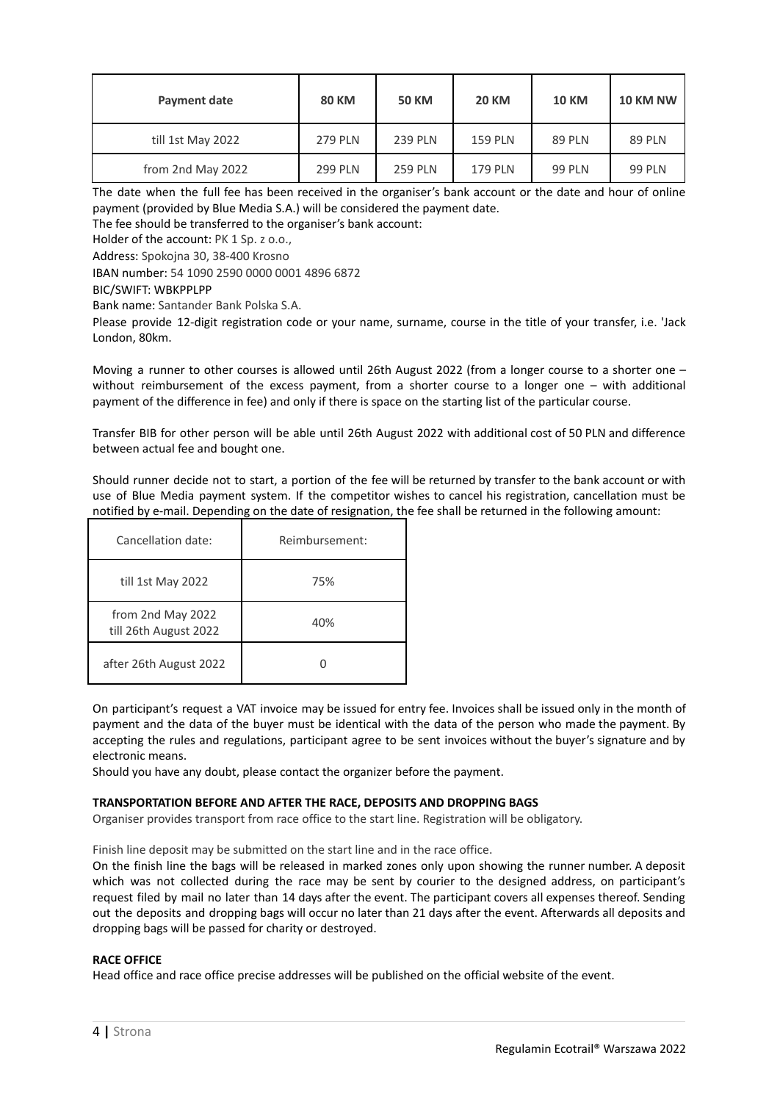| Payment date      | <b>80 KM</b>   | <b>50 KM</b>   | <b>20 KM</b>   | <b>10 KM</b>  | <b>10 KM NW</b> |
|-------------------|----------------|----------------|----------------|---------------|-----------------|
| till 1st May 2022 | <b>279 PLN</b> | <b>239 PLN</b> | <b>159 PLN</b> | <b>89 PLN</b> | <b>89 PLN</b>   |
| from 2nd May 2022 | <b>299 PLN</b> | <b>259 PLN</b> | <b>179 PLN</b> | <b>99 PLN</b> | <b>99 PLN</b>   |

The date when the full fee has been received in the organiser's bank account or the date and hour of online payment (provided by Blue Media S.A.) will be considered the payment date.

The fee should be transferred to the organiser's bank account:

Holder of the account: PK 1 Sp. z o.o.,

Address: Spokojna 30, 38-400 Krosno

IBAN number: 54 1090 2590 0000 0001 4896 6872

BIC/SWIFT: WBKPPLPP

Bank name: Santander Bank Polska S.A.

Please provide 12-digit registration code or your name, surname, course in the title of your transfer, i.e. 'Jack London, 80km.

Moving a runner to other courses is allowed until 26th August 2022 (from a longer course to a shorter one – without reimbursement of the excess payment, from a shorter course to a longer one – with additional payment of the difference in fee) and only if there is space on the starting list of the particular course.

Transfer BIB for other person will be able until 26th August 2022 with additional cost of 50 PLN and difference between actual fee and bought one.

Should runner decide not to start, a portion of the fee will be returned by transfer to the bank account or with use of Blue Media payment system. If the competitor wishes to cancel his registration, cancellation must be notified by e-mail. Depending on the date of resignation, the fee shall be returned in the following amount:

| Cancellation date:                         | Reimbursement: |
|--------------------------------------------|----------------|
| till 1st May 2022                          | 75%            |
| from 2nd May 2022<br>till 26th August 2022 | 40%            |
| after 26th August 2022                     |                |

On participant's request a VAT invoice may be issued for entry fee. Invoices shall be issued only in the month of payment and the data of the buyer must be identical with the data of the person who made the payment. By accepting the rules and regulations, participant agree to be sent invoices without the buyer's signature and by electronic means.

Should you have any doubt, please contact the organizer before the payment.

# **TRANSPORTATION BEFORE AND AFTER THE RACE, DEPOSITS AND DROPPING BAGS**

Organiser provides transport from race office to the start line. Registration will be obligatory.

Finish line deposit may be submitted on the start line and in the race office.

On the finish line the bags will be released in marked zones only upon showing the runner number. A deposit which was not collected during the race may be sent by courier to the designed address, on participant's request filed by mail no later than 14 days after the event. The participant covers all expenses thereof. Sending out the deposits and dropping bags will occur no later than 21 days after the event. Afterwards all deposits and dropping bags will be passed for charity or destroyed.

# **RACE OFFICE**

Head office and race office precise addresses will be published on the official website of the event.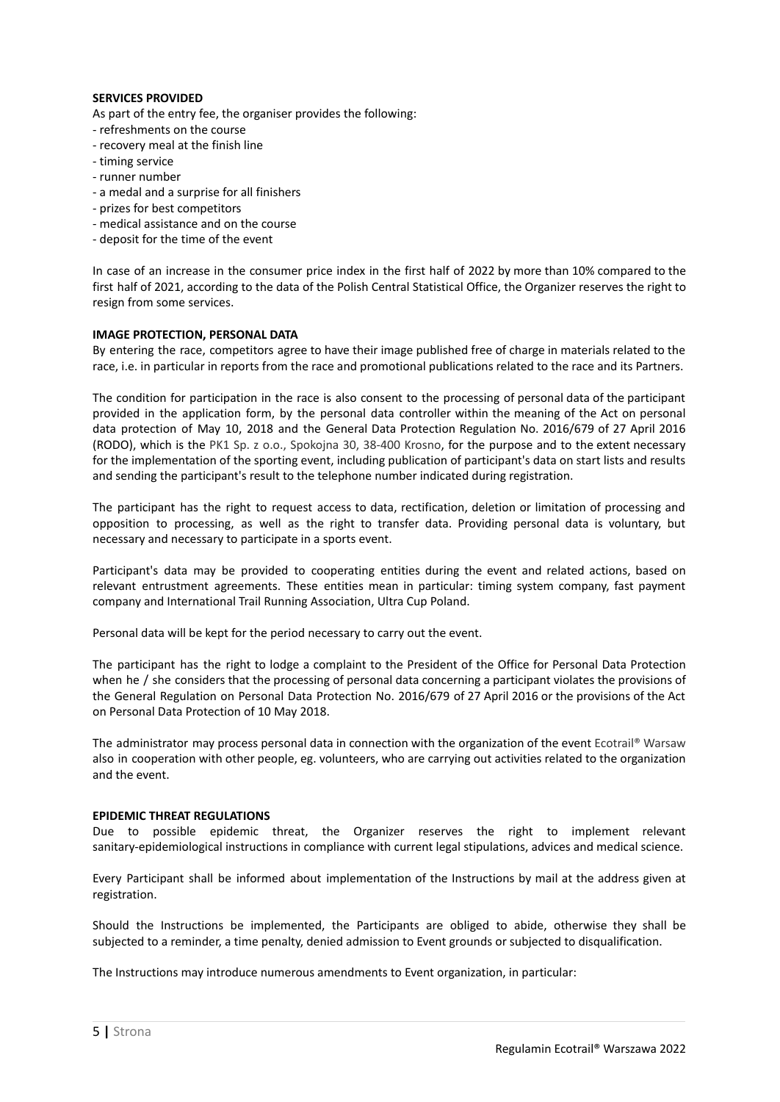# **SERVICES PROVIDED**

As part of the entry fee, the organiser provides the following:

- refreshments on the course
- recovery meal at the finish line
- timing service
- runner number
- a medal and a surprise for all finishers
- prizes for best competitors
- medical assistance and on the course
- deposit for the time of the event

In case of an increase in the consumer price index in the first half of 2022 by more than 10% compared to the first half of 2021, according to the data of the Polish Central Statistical Office, the Organizer reserves the right to resign from some services.

#### **IMAGE PROTECTION, PERSONAL DATA**

By entering the race, competitors agree to have their image published free of charge in materials related to the race, i.e. in particular in reports from the race and promotional publications related to the race and its Partners.

The condition for participation in the race is also consent to the processing of personal data of the participant provided in the application form, by the personal data controller within the meaning of the Act on personal data protection of May 10, 2018 and the General Data Protection Regulation No. 2016/679 of 27 April 2016 (RODO), which is the PK1 Sp. z o.o., Spokojna 30, 38-400 Krosno, for the purpose and to the extent necessary for the implementation of the sporting event, including publication of participant's data on start lists and results and sending the participant's result to the telephone number indicated during registration.

The participant has the right to request access to data, rectification, deletion or limitation of processing and opposition to processing, as well as the right to transfer data. Providing personal data is voluntary, but necessary and necessary to participate in a sports event.

Participant's data may be provided to cooperating entities during the event and related actions, based on relevant entrustment agreements. These entities mean in particular: timing system company, fast payment company and International Trail Running Association, Ultra Cup Poland.

Personal data will be kept for the period necessary to carry out the event.

The participant has the right to lodge a complaint to the President of the Office for Personal Data Protection when he / she considers that the processing of personal data concerning a participant violates the provisions of the General Regulation on Personal Data Protection No. 2016/679 of 27 April 2016 or the provisions of the Act on Personal Data Protection of 10 May 2018.

The administrator may process personal data in connection with the organization of the event Ecotrail® Warsaw also in cooperation with other people, eg. volunteers, who are carrying out activities related to the organization and the event.

#### **EPIDEMIC THREAT REGULATIONS**

Due to possible epidemic threat, the Organizer reserves the right to implement relevant sanitary-epidemiological instructions in compliance with current legal stipulations, advices and medical science.

Every Participant shall be informed about implementation of the Instructions by mail at the address given at registration.

Should the Instructions be implemented, the Participants are obliged to abide, otherwise they shall be subjected to a reminder, a time penalty, denied admission to Event grounds or subjected to disqualification.

The Instructions may introduce numerous amendments to Event organization, in particular: